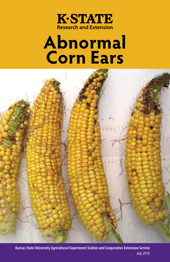

# **Abnormal Corn Ears**



Kansas State University Agricultural Experiment Station and Cooperative Extension Service *July 2018*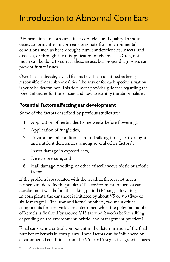### Introduction to Abnormal Corn Ears

Abnormalities in corn ears affect corn yield and quality. In most cases, abnormalities in corn ears originate from environmental conditions such as heat, drought, nutrient deficiencies, insects, and diseases, or through the misapplication of chemicals. Often, not much can be done to correct these issues, but proper diagnostics can prevent future issues.

Over the last decade, several factors have been identified as being responsible for ear abnormalities. The answer for each specific situation is yet to be determined. This document provides guidance regarding the potential causes for these issues and how to identify the abnormalities.

### **Potential factors affecting ear development**

Some of the factors described by previous studies are:

- 1. Application of herbicides (some weeks before flowering),
- 2. Application of fungicides,
- 3. Environmental conditions around silking time (heat, drought, and nutrient deficiencies, among several other factors),
- 4. Insect damage in exposed ears,
- 5. Disease pressure, and
- 6. Hail damage, flooding, or other miscellaneous biotic or abiotic factors.

If the problem is associated with the weather, there is not much farmers can do to fix the problem. The environment influences ear development well before the silking period (R1 stage, flowering). In corn plants, the ear shoot is initiated by about V5 or V6 (five- or six-leaf stages). Final row and kernel numbers, two main critical components for corn yield, are determined when the potential number of kernels is finalized by around V15 (around 2 weeks before silking, depending on the environment, hybrid, and management practices).

Final ear size is a critical component in the determination of the final number of kernels in corn plants. These factors can be influenced by environmental conditions from the V5 to V15 vegetative growth stages.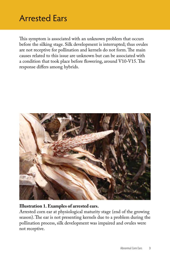### Arrested Ears

This symptom is associated with an unknown problem that occurs before the silking stage. Silk development is interrupted; thus ovules are not receptive for pollination and kernels do not form. The main causes related to this issue are unknown but can be associated with a condition that took place before flowering, around V10-V15. The response differs among hybrids.



#### **Illustration 1. Examples of arrested ears.**

Arrested corn ear at physiological maturity stage (end of the growing season). The ear is not presenting kernels due to a problem during the pollination process, silk development was impaired and ovules were not receptive.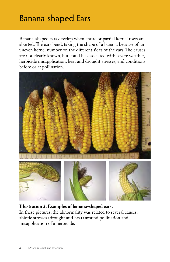### Banana-shaped Ears

Banana-shaped ears develop when entire or partial kernel rows are aborted. The ears bend, taking the shape of a banana because of an uneven kernel number on the different sides of the ears. The causes are not clearly known, but could be associated with severe weather, herbicide misapplication, heat and drought stresses, and conditions before or at pollination.



**Illustration 2. Examples of banana-shaped ears.**  In these pictures, the abnormality was related to several causes: abiotic stresses (drought and heat) around pollination and misapplication of a herbicide.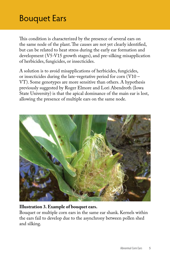### Bouquet Ears

This condition is characterized by the presence of several ears on the same node of the plant. The causes are not yet clearly identified, but can be related to heat stress during the early ear formation and development (V5-V15 growth stages), and pre-silking misapplication of herbicides, fungicides, or insecticides.

A solution is to avoid misapplications of herbicides, fungicides, or insecticides during the late-vegetative period for corn (V10 – VT). Some genotypes are more sensitive than others. A hypothesis previously suggested by Roger Elmore and Lori Abendroth (Iowa State University) is that the apical dominance of the main ear is lost, allowing the presence of multiple ears on the same node.



#### **Illustration 3. Example of bouquet ears.**

Bouquet or multiple corn ears in the same ear shank. Kernels within the ears fail to develop due to the asynchrony between pollen shed and silking.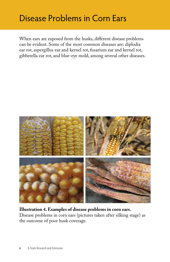### Disease Problems in Corn Ears

When ears are exposed from the husks, different disease problems can be evident. Some of the most common diseases are: diplodia ear rot, aspergillus ear and kernel rot, fusarium ear and kernel rot, gibberella ear rot, and blue-eye mold, among several other diseases.



#### **Illustration 4. Examples of disease problems in corn ears.**

Disease problems in corn ears (pictures taken after silking stage) as the outcome of poor husk coverage.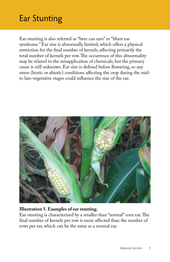### Ear Stunting

Ear stunting is also referred as "beer can ears" or "blunt ear syndrome." Ear size is abnormally limited, which offers a physical restriction for the final number of kernels, affecting primarily the total number of kernels per row. The occurrence of this abnormality may be related to the misapplication of chemicals, but the primary cause is still unknown. Ear size is defined before flowering, so any stress (biotic or abiotic) conditions affecting the crop during the midto late-vegetative stages could influence the size of the ear.



#### **Illustration 5. Examples of ear stunting.**

Ear stunting is characterized by a smaller than "normal" corn ear. The final number of kernels per row is more affected than the number of rows per ear, which can be the same as a normal ear.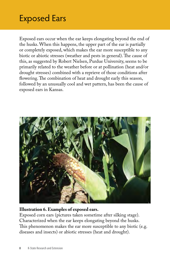### Exposed Ears

Exposed ears occur when the ear keeps elongating beyond the end of the husks. When this happens, the upper part of the ear is partially or completely exposed, which makes the ear more susceptible to any biotic or abiotic stresses (weather and pests in general). The cause of this, as suggested by Robert Nielsen, Purdue University, seems to be primarily related to the weather before or at pollination (heat and/or drought stresses) combined with a reprieve of those conditions after flowering. The combination of heat and drought early this season, followed by an unusually cool and wet pattern, has been the cause of exposed ears in Kansas.



#### **Illustration 6. Examples of exposed ears.**

Exposed corn ears (pictures taken sometime after silking stage). Characterized when the ear keeps elongating beyond the husks. This phenomenon makes the ear more susceptible to any biotic (e.g. diseases and insects) or abiotic stresses (heat and drought).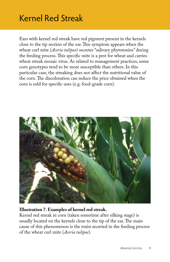### Kernel Red Streak

Ears with kernel red streak have red pigment present in the kernels close to the tip section of the ear. This symptom appears when the wheat curl mite (*Aceria tulipae*) secretes "salivary phytotoxins" during the feeding process. This specific mite is a pest for wheat and carries wheat streak mosaic virus. As related to management practices, some corn genotypes tend to be more susceptible than others. In this particular case, the streaking does not affect the nutritional value of the corn. The discoloration can reduce the price obtained when the corn is sold for specific uses (e.g. food-grade corn).



#### **Illustration 7. Examples of kernel red streak.**

Kernel red streak in corn (taken sometime after silking stage) is usually located on the kernels close to the tip of the ear. The main cause of this phenomenon is the toxin secreted in the feeding process of the wheat curl mite (*Aceria tulipae*).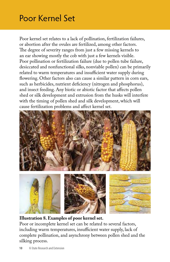### Poor Kernel Set

Poor kernel set relates to a lack of pollination, fertilization failures, or abortion after the ovules are fertilized, among other factors. The degree of severity ranges from just a few missing kernels to an ear showing mostly the cob with just a few kernels visible. Poor pollination or fertilization failure (due to pollen tube failure, desiccated and nonfunctional silks, nonviable pollen) can be primarily related to warm temperatures and insufficient water supply during flowering. Other factors also can cause a similar pattern in corn ears, such as herbicides, nutrient deficiency (nitrogen and phosphorus), and insect feeding. Any biotic or abiotic factor that affects pollen shed or silk development and extrusion from the husks will interfere with the timing of pollen shed and silk development, which will cause fertilization problems and affect kernel set.



**Illustration 8. Examples of poor kernel set.** 

Poor or incomplete kernel set can be related to several factors, including warm temperatures, insufficient water supply, lack of complete pollination, and asynchrony between pollen shed and the silking process.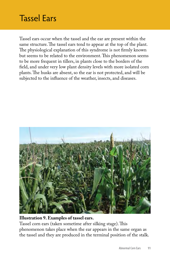### Tassel Ears

Tassel ears occur when the tassel and the ear are present within the same structure. The tassel ears tend to appear at the top of the plant. The physiological explanation of this syndrome is not firmly known but seems to be related to the environment. This phenomenon seems to be more frequent in tillers, in plants close to the borders of the field, and under very low plant density levels with more isolated corn plants. The husks are absent, so the ear is not protected, and will be subjected to the influence of the weather, insects, and diseases.



#### **Illustration 9. Examples of tassel ears.**

Tassel corn ears (taken sometime after silking stage). This phenomenon takes place when the ear appears in the same organ as the tassel and they are produced in the terminal position of the stalk.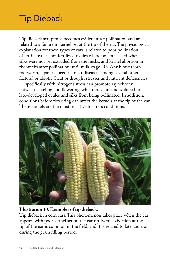## Tip Dieback

Tip dieback symptoms becomes evident after pollination and are related to a failure in kernel set at the tip of the ear. The physiological explanation for these types of ears is related to poor pollination of fertile ovules, nonfertilized ovules where pollen is shed when silks were not yet extruded from the husks, and kernel abortion in the weeks after pollination until milk stage, R3. Any biotic (corn rootworm, Japanese beetles, foliar diseases, among several other factors) or abiotic (heat or drought stresses and nutrient deficiencies — specifically with nitrogen) stress can promote asynchrony between tasseling and flowering, which prevents undeveloped or late-developed ovules and silks from being pollinated. In addition, conditions before flowering can affect the kernels at the tip of the ear. These kernels are the most sensitive to stress conditions.



### **Illustration 10. Examples of tip dieback.**

Tip dieback in corn ears. This phenomenon takes place when the ear appears with poor kernel set on the ear tip. Kernel abortion at the tip of the ear is common in the field, and it is related to late abortion during the grain filling period.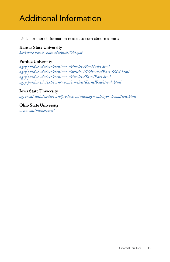### Additional Information

Links for more information related to corn abnormal ears:

### **Kansas State University**

*[bookstore.ksre.k-state.edu/pubs/S54.pdf](https://www.bookstore.ksre.k-state.edu/pubs/S54.pdf)*

### **Purdue University**

*[agry.purdue.edu/ext/corn/news/timeless/EarHusks.html](http://www.agry.purdue.edu/ext/corn/news/timeless/EarHusks.html) [agry.purdue.edu/ext/corn/news/articles.07/ArrestedEars-0904.html](http://www.agry.purdue.edu/ext/corn/news/articles.07/ArrestedEars-0904.html) [agry.purdue.edu/ext/corn/news/timeless/TasselEars.html](http://www.agry.purdue.edu/ext/corn/news/timeless/TasselEars.html) [agry.purdue.edu/ext/corn/news/timeless/KernelRedStreak.html](http://www.agry.purdue.edu/ext/corn/news/timeless/KernelRedStreak.html)*

#### **Iowa State University**

*[agronext.iastate.edu/corn/production/management/hybrid/multiple.html](http://www.agronext.iastate.edu/corn/production/management/hybrid/multiple.html)*

#### **Ohio State University**  *[u.osu.edu/mastercorn/](http://u.osu.edu/mastercorn/)*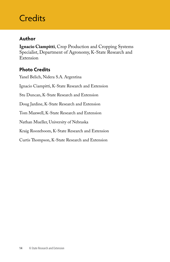### **Credits**

### **Author**

**Ignacio Ciampitti**, Crop Production and Cropping Systems Specialist, Department of Agronomy, K-State Research and Extension

### **Photo Credits**

Yanel Belich, Nidera S.A. Argentina Ignacio Ciampitti, K-State Research and Extension Stu Duncan, K-State Research and Extension Doug Jardine, K-State Research and Extension Tom Maxwell, K-State Research and Extension Nathan Mueller, University of Nebraska Kraig Roozeboom, K-State Research and Extension Curtis Thompson, K-State Research and Extension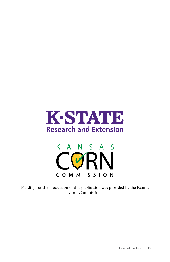



Funding for the production of this publication was provided by the Kansas Corn Commission.